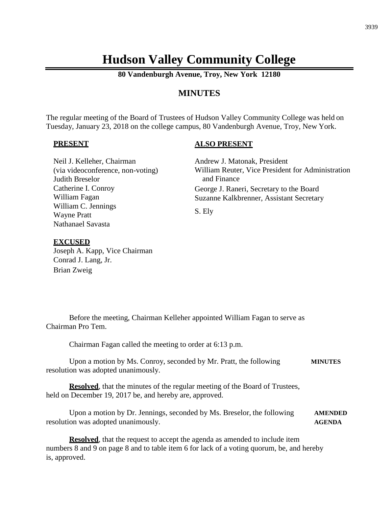# **Hudson Valley Community College**

**80 Vandenburgh Avenue, Troy, New York 12180**

# **MINUTES**

The regular meeting of the Board of Trustees of Hudson Valley Community College was held on Tuesday, January 23, 2018 on the college campus, 80 Vandenburgh Avenue, Troy, New York.

#### **PRESENT**

#### **ALSO PRESENT**

Andrew J. Matonak, President William Reuter, Vice President for Administration and Finance George J. Raneri, Secretary to the Board Suzanne Kalkbrenner, Assistant Secretary S. Ely Neil J. Kelleher, Chairman (via videoconference, non-voting) Judith Breselor Catherine I. Conroy William Fagan William C. Jennings Wayne Pratt Nathanael Savasta

#### **EXCUSED**

Joseph A. Kapp, Vice Chairman Conrad J. Lang, Jr. Brian Zweig

Before the meeting, Chairman Kelleher appointed William Fagan to serve as Chairman Pro Tem.

Chairman Fagan called the meeting to order at 6:13 p.m.

Upon a motion by Ms. Conroy, seconded by Mr. Pratt, the following **MINUTES** resolution was adopted unanimously.

**Resolved**, that the minutes of the regular meeting of the Board of Trustees, held on December 19, 2017 be, and hereby are, approved.

Upon a motion by Dr. Jennings, seconded by Ms. Breselor, the following **AMENDED** resolution was adopted unanimously. **AGENDA**

**Resolved**, that the request to accept the agenda as amended to include item numbers 8 and 9 on page 8 and to table item 6 for lack of a voting quorum, be, and hereby is, approved.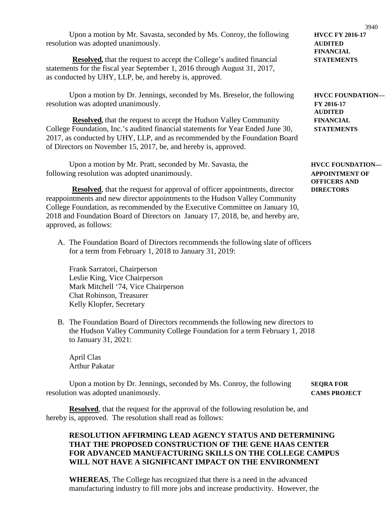Upon a motion by Mr. Savasta, seconded by Ms. Conroy, the following **HVCC FY 2016-17** resolution was adopted unanimously. **AUDITED**

**Resolved,** that the request to accept the College's audited financial **STATEMENTS** statements for the fiscal year September 1, 2016 through August 31, 2017, as conducted by UHY, LLP, be, and hereby is, approved.

Upon a motion by Dr. Jennings, seconded by Ms. Breselor, the following **HVCC FOUNDATION** resolution was adopted unanimously. **FY 2016-17**

**Resolved,** that the request to accept the Hudson Valley Community **FINANCIAL** College Foundation, Inc.'s audited financial statements for Year Ended June 30, **STATEMENTS** 2017, as conducted by UHY, LLP, and as recommended by the Foundation Board of Directors on November 15, 2017, be, and hereby is, approved.

Upon a motion by Mr. Pratt, seconded by Mr. Savasta, the **HVCC FOUNDATION** following resolution was adopted unanimously. **APPOINTMENT OF**

**Resolved**, that the request for approval of officer appointments, director **DIRECTORS** reappointments and new director appointments to the Hudson Valley Community College Foundation, as recommended by the Executive Committee on January 10, 2018 and Foundation Board of Directors on January 17, 2018, be, and hereby are, approved, as follows:

A. The Foundation Board of Directors recommends the following slate of officers for a term from February 1, 2018 to January 31, 2019:

Frank Sarratori, Chairperson Leslie King, Vice Chairperson Mark Mitchell '74, Vice Chairperson Chat Robinson, Treasurer Kelly Klopfer, Secretary

B. The Foundation Board of Directors recommends the following new directors to the Hudson Valley Community College Foundation for a term February 1, 2018 to January 31, 2021:

April Clas Arthur Pakatar

Upon a motion by Dr. Jennings, seconded by Ms. Conroy, the following **SEQRA FOR** resolution was adopted unanimously. **CAMS PROJECT**

**Resolved**, that the request for the approval of the following resolution be, and hereby is, approved. The resolution shall read as follows:

## **RESOLUTION AFFIRMING LEAD AGENCY STATUS AND DETERMINING THAT THE PROPOSED CONSTRUCTION OF THE GENE HAAS CENTER FOR ADVANCED MANUFACTURING SKILLS ON THE COLLEGE CAMPUS WILL NOT HAVE A SIGNIFICANT IMPACT ON THE ENVIRONMENT**

**WHEREAS**, The College has recognized that there is a need in the advanced manufacturing industry to fill more jobs and increase productivity. However, the

**FINANCIAL**

**AUDITED**

**OFFICERS AND**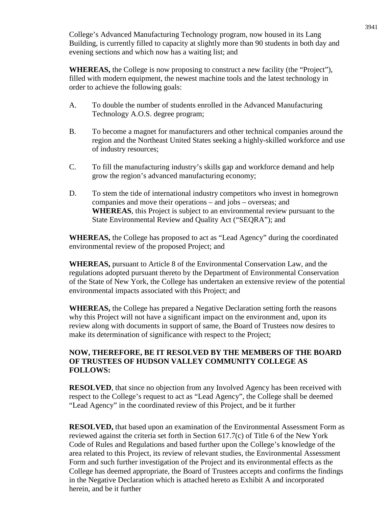College's Advanced Manufacturing Technology program, now housed in its Lang Building, is currently filled to capacity at slightly more than 90 students in both day and evening sections and which now has a waiting list; and

**WHEREAS,** the College is now proposing to construct a new facility (the "Project"), filled with modern equipment, the newest machine tools and the latest technology in order to achieve the following goals:

- A. To double the number of students enrolled in the Advanced Manufacturing Technology A.O.S. degree program;
- B. To become a magnet for manufacturers and other technical companies around the region and the Northeast United States seeking a highly-skilled workforce and use of industry resources;
- C. To fill the manufacturing industry's skills gap and workforce demand and help grow the region's advanced manufacturing economy;
- D. To stem the tide of international industry competitors who invest in homegrown companies and move their operations – and jobs – overseas; and **WHEREAS**, this Project is subject to an environmental review pursuant to the State Environmental Review and Quality Act ("SEQRA"); and

**WHEREAS,** the College has proposed to act as "Lead Agency" during the coordinated environmental review of the proposed Project; and

**WHEREAS,** pursuant to Article 8 of the Environmental Conservation Law, and the regulations adopted pursuant thereto by the Department of Environmental Conservation of the State of New York, the College has undertaken an extensive review of the potential environmental impacts associated with this Project; and

**WHEREAS,** the College has prepared a Negative Declaration setting forth the reasons why this Project will not have a significant impact on the environment and, upon its review along with documents in support of same, the Board of Trustees now desires to make its determination of significance with respect to the Project;

## **NOW, THEREFORE, BE IT RESOLVED BY THE MEMBERS OF THE BOARD OF TRUSTEES OF HUDSON VALLEY COMMUNITY COLLEGE AS FOLLOWS:**

**RESOLVED**, that since no objection from any Involved Agency has been received with respect to the College's request to act as "Lead Agency", the College shall be deemed "Lead Agency" in the coordinated review of this Project, and be it further

**RESOLVED,** that based upon an examination of the Environmental Assessment Form as reviewed against the criteria set forth in Section 617.7(c) of Title 6 of the New York Code of Rules and Regulations and based further upon the College's knowledge of the area related to this Project, its review of relevant studies, the Environmental Assessment Form and such further investigation of the Project and its environmental effects as the College has deemed appropriate, the Board of Trustees accepts and confirms the findings in the Negative Declaration which is attached hereto as Exhibit A and incorporated herein, and be it further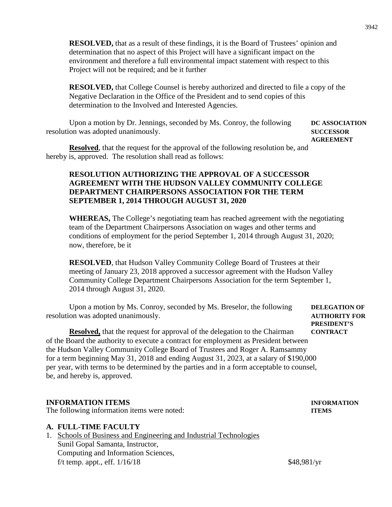**RESOLVED,** that as a result of these findings, it is the Board of Trustees' opinion and determination that no aspect of this Project will have a significant impact on the environment and therefore a full environmental impact statement with respect to this Project will not be required; and be it further

**RESOLVED,** that College Counsel is hereby authorized and directed to file a copy of the Negative Declaration in the Office of the President and to send copies of this determination to the Involved and Interested Agencies.

Upon a motion by Dr. Jennings, seconded by Ms. Conroy, the following **DC ASSOCIATION** resolution was adopted unanimously. **SUCCESSOR**

**AGREEMENT**

**Resolved**, that the request for the approval of the following resolution be, and hereby is, approved. The resolution shall read as follows:

## **RESOLUTION AUTHORIZING THE APPROVAL OF A SUCCESSOR AGREEMENT WITH THE HUDSON VALLEY COMMUNITY COLLEGE DEPARTMENT CHAIRPERSONS ASSOCIATION FOR THE TERM SEPTEMBER 1, 2014 THROUGH AUGUST 31, 2020**

**WHEREAS,** The College's negotiating team has reached agreement with the negotiating team of the Department Chairpersons Association on wages and other terms and conditions of employment for the period September 1, 2014 through August 31, 2020; now, therefore, be it

**RESOLVED**, that Hudson Valley Community College Board of Trustees at their meeting of January 23, 2018 approved a successor agreement with the Hudson Valley Community College Department Chairpersons Association for the term September 1, 2014 through August 31, 2020.

Upon a motion by Ms. Conroy, seconded by Ms. Breselor, the following **DELEGATION OF** resolution was adopted unanimously. **AUTHORITY FOR**

**PRESIDENT'S**

**Resolved,** that the request for approval of the delegation to the Chairman **CONTRACT** of the Board the authority to execute a contract for employment as President between the Hudson Valley Community College Board of Trustees and Roger A. Ramsammy for a term beginning May 31, 2018 and ending August 31, 2023, at a salary of \$190,000 per year, with terms to be determined by the parties and in a form acceptable to counsel, be, and hereby is, approved.

## **INFORMATION ITEMS INFORMATION**

The following information items were noted: **ITEMS**

#### **A. FULL-TIME FACULTY**

1. Schools of Business and Engineering and Industrial Technologies Sunil Gopal Samanta, Instructor, Computing and Information Sciences, f/t temp. appt., eff.  $1/16/18$  \$48,981/yr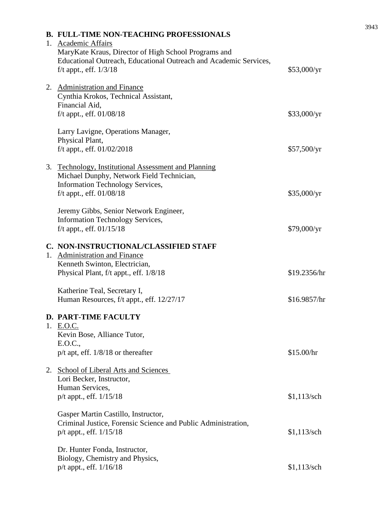|  | <b>B. FULL-TIME NON-TEACHING PROFESSIONALS</b><br>1. Academic Affairs                                                                                 |               |
|--|-------------------------------------------------------------------------------------------------------------------------------------------------------|---------------|
|  | MaryKate Kraus, Director of High School Programs and<br>Educational Outreach, Educational Outreach and Academic Services,<br>f/t appt., eff. $1/3/18$ | \$53,000/yr   |
|  | 2. Administration and Finance<br>Cynthia Krokos, Technical Assistant,<br>Financial Aid,                                                               |               |
|  | $f/t$ appt., eff. $01/08/18$                                                                                                                          | \$33,000/yr   |
|  | Larry Lavigne, Operations Manager,<br>Physical Plant,                                                                                                 |               |
|  | f/t appt., eff. 01/02/2018                                                                                                                            | \$57,500/yr   |
|  | 3. Technology, Institutional Assessment and Planning<br>Michael Dunphy, Network Field Technician,                                                     |               |
|  | <b>Information Technology Services,</b><br>f/t appt., eff. $01/08/18$                                                                                 | \$35,000/yr   |
|  | Jeremy Gibbs, Senior Network Engineer,                                                                                                                |               |
|  | <b>Information Technology Services,</b><br>f/t appt., eff. 01/15/18                                                                                   | \$79,000/yr   |
|  | C. NON-INSTRUCTIONAL/CLASSIFIED STAFF                                                                                                                 |               |
|  | 1. Administration and Finance                                                                                                                         |               |
|  | Kenneth Swinton, Electrician,<br>Physical Plant, f/t appt., eff. 1/8/18                                                                               | \$19.2356/hr  |
|  | Katherine Teal, Secretary I,<br>Human Resources, f/t appt., eff. 12/27/17                                                                             | \$16.9857/hr  |
|  | <b>D. PART-TIME FACULTY</b>                                                                                                                           |               |
|  | 1. E.O.C.<br>Kevin Bose, Alliance Tutor,                                                                                                              |               |
|  | E.O.C.,<br>$p/t$ apt, eff. $1/8/18$ or thereafter                                                                                                     | \$15.00/hr    |
|  | 2. School of Liberal Arts and Sciences                                                                                                                |               |
|  | Lori Becker, Instructor,<br>Human Services,                                                                                                           |               |
|  | p/t appt., eff. 1/15/18                                                                                                                               | $$1,113$ /sch |
|  | Gasper Martin Castillo, Instructor,                                                                                                                   |               |
|  | Criminal Justice, Forensic Science and Public Administration,<br>p/t appt., eff. 1/15/18                                                              | $$1,113$ /sch |
|  | Dr. Hunter Fonda, Instructor,                                                                                                                         |               |
|  | Biology, Chemistry and Physics,<br>p/t appt., eff. 1/16/18                                                                                            | $$1,113$ /sch |
|  |                                                                                                                                                       |               |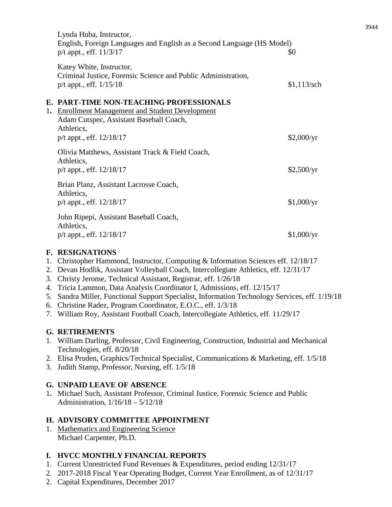|    | Lynda Huba, Instructor,<br>English, Foreign Languages and English as a Second Language (HS Model)<br>$p/t$ appt., eff. $11/3/17$                                                     | \$0           |
|----|--------------------------------------------------------------------------------------------------------------------------------------------------------------------------------------|---------------|
|    | Katey White, Instructor,<br>Criminal Justice, Forensic Science and Public Administration,<br>$p/t$ appt., eff. $1/15/18$                                                             | $$1,113$ /sch |
| 1. | E. PART-TIME NON-TEACHING PROFESSIONALS<br><b>Enrollment Management and Student Development</b><br>Adam Cutspec, Assistant Baseball Coach,<br>Athletics,<br>p/t appt., eff. 12/18/17 | \$2,000/yr    |
|    | Olivia Matthews, Assistant Track & Field Coach,<br>Athletics,<br>$p/t$ appt., eff. $12/18/17$                                                                                        | \$2,500/yr    |
|    | Brian Planz, Assistant Lacrosse Coach,<br>Athletics,<br>$p/t$ appt., eff. $12/18/17$                                                                                                 | \$1,000/yr    |
|    | John Ripepi, Assistant Baseball Coach,<br>Athletics,<br>$p/t$ appt., eff. $12/18/17$                                                                                                 | \$1,000/yr    |

## **F. RESIGNATIONS**

- 1. Christopher Hammond, Instructor, Computing & Information Sciences eff. 12/18/17
- 2. Devan Hodlik, Assistant Volleyball Coach, Intercollegiate Athletics, eff. 12/31/17
- 3. Christy Jerome, Technical Assistant, Registrar, eff. 1/26/18
- 4. Tricia Lammon, Data Analysis Coordinator I, Admissions, eff. 12/15/17
- 5. Sandra Miller, Functional Support Specialist, Information Technology Services, eff. 1/19/18
- 6. Christine Radez, Program Coordinator, E.O.C., eff. 1/3/18
- 7. William Roy, Assistant Football Coach, Intercollegiate Athletics, eff. 11/29/17

## **G. RETIREMENTS**

- 1. William Darling, Professor, Civil Engineering, Construction, Industrial and Mechanical Technologies, eff. 8/20/18
- 2. Elisa Pruden, Graphics/Technical Specialist, Communications & Marketing, eff. 1/5/18
- 3. Judith Stamp, Professor, Nursing, eff. 1/5/18

## **G. UNPAID LEAVE OF ABSENCE**

1**.** Michael Such, Assistant Professor, Criminal Justice, Forensic Science and Public Administration, 1/16/18 – 5/12/18

## **H. ADVISORY COMMITTEE APPOINTMENT**

1. Mathematics and Engineering Science Michael Carpenter, Ph.D.

## **I. HVCC MONTHLY FINANCIAL REPORTS**

- 1. Current Unrestricted Fund Revenues & Expenditures, period ending 12/31/17
- 2. 2017-2018 Fiscal Year Operating Budget, Current Year Enrollment, as of 12/31/17
- 2. Capital Expenditures, December 2017